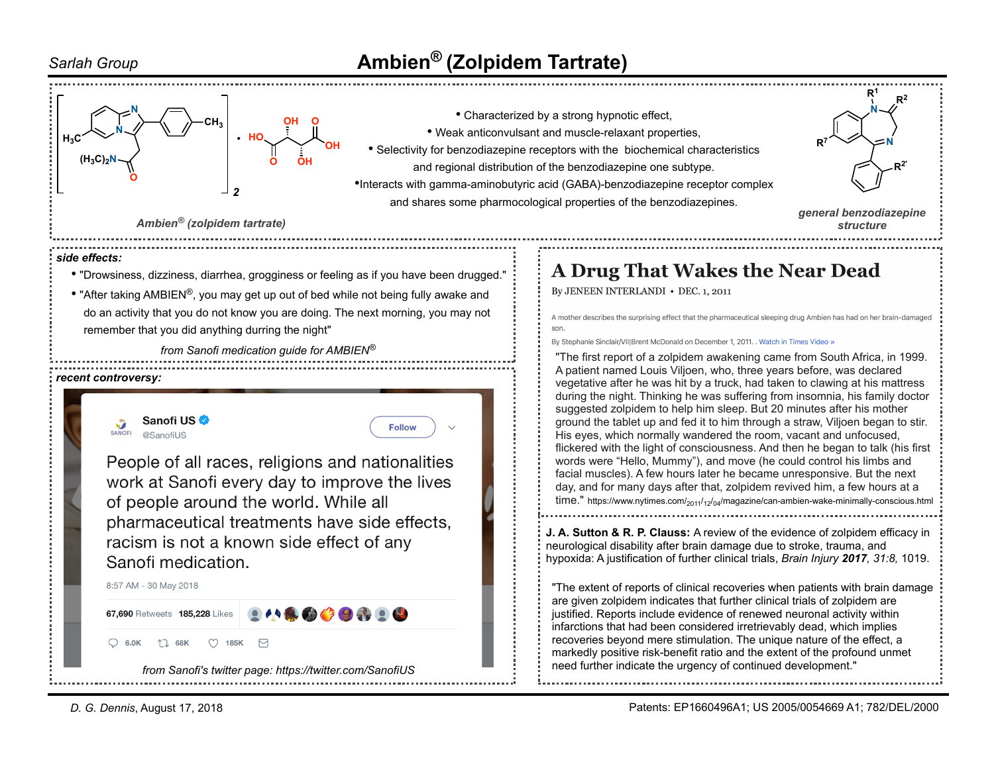## *Sarlah Group* **Ambien® (Zolpidem Tartrate)**



*D. G. Dennis*, August 17, 2018